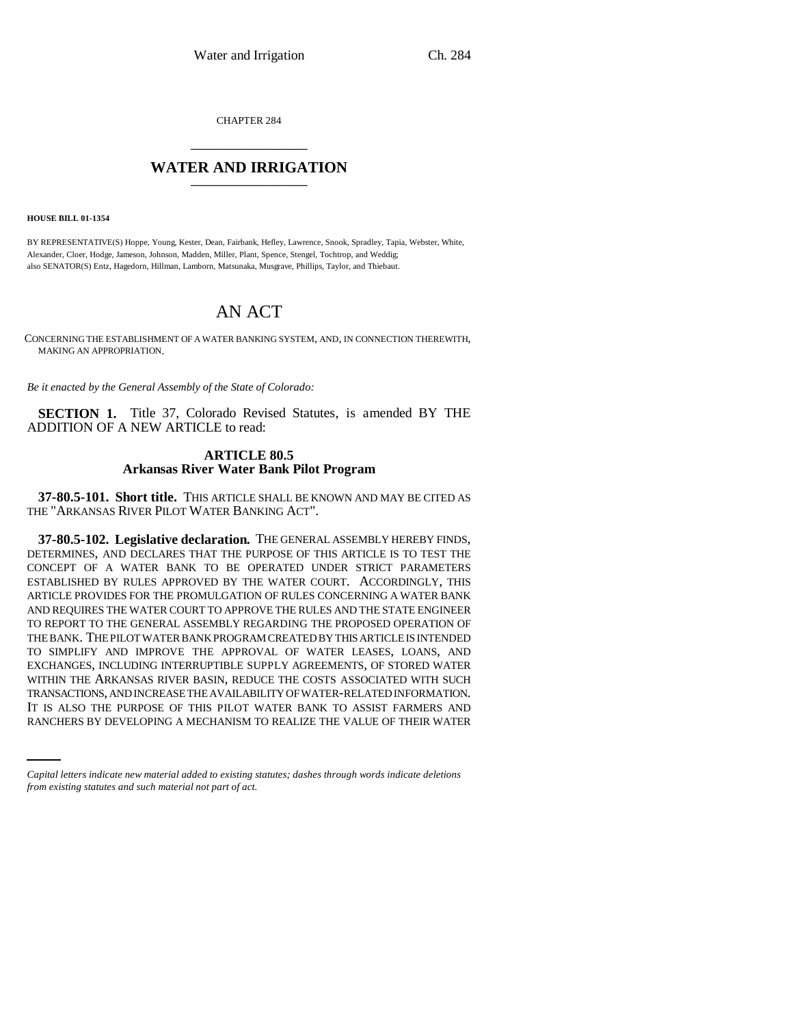CHAPTER 284 \_\_\_\_\_\_\_\_\_\_\_\_\_\_\_

## **WATER AND IRRIGATION** \_\_\_\_\_\_\_\_\_\_\_\_\_\_\_

**HOUSE BILL 01-1354**

BY REPRESENTATIVE(S) Hoppe, Young, Kester, Dean, Fairbank, Hefley, Lawrence, Snook, Spradley, Tapia, Webster, White, Alexander, Cloer, Hodge, Jameson, Johnson, Madden, Miller, Plant, Spence, Stengel, Tochtrop, and Weddig; also SENATOR(S) Entz, Hagedorn, Hillman, Lamborn, Matsunaka, Musgrave, Phillips, Taylor, and Thiebaut.

# AN ACT

CONCERNING THE ESTABLISHMENT OF A WATER BANKING SYSTEM, AND, IN CONNECTION THEREWITH, MAKING AN APPROPRIATION.

*Be it enacted by the General Assembly of the State of Colorado:*

**SECTION 1.** Title 37, Colorado Revised Statutes, is amended BY THE ADDITION OF A NEW ARTICLE to read:

### **ARTICLE 80.5 Arkansas River Water Bank Pilot Program**

**37-80.5-101. Short title.** THIS ARTICLE SHALL BE KNOWN AND MAY BE CITED AS THE "ARKANSAS RIVER PILOT WATER BANKING ACT".

TRANSACTIONS, AND INCREASE THE AVAILABILITY OF WATER-RELATED INFORMATION. **37-80.5-102. Legislative declaration.** THE GENERAL ASSEMBLY HEREBY FINDS, DETERMINES, AND DECLARES THAT THE PURPOSE OF THIS ARTICLE IS TO TEST THE CONCEPT OF A WATER BANK TO BE OPERATED UNDER STRICT PARAMETERS ESTABLISHED BY RULES APPROVED BY THE WATER COURT. ACCORDINGLY, THIS ARTICLE PROVIDES FOR THE PROMULGATION OF RULES CONCERNING A WATER BANK AND REQUIRES THE WATER COURT TO APPROVE THE RULES AND THE STATE ENGINEER TO REPORT TO THE GENERAL ASSEMBLY REGARDING THE PROPOSED OPERATION OF THE BANK. THE PILOT WATER BANK PROGRAM CREATED BY THIS ARTICLE IS INTENDED TO SIMPLIFY AND IMPROVE THE APPROVAL OF WATER LEASES, LOANS, AND EXCHANGES, INCLUDING INTERRUPTIBLE SUPPLY AGREEMENTS, OF STORED WATER WITHIN THE ARKANSAS RIVER BASIN, REDUCE THE COSTS ASSOCIATED WITH SUCH IT IS ALSO THE PURPOSE OF THIS PILOT WATER BANK TO ASSIST FARMERS AND RANCHERS BY DEVELOPING A MECHANISM TO REALIZE THE VALUE OF THEIR WATER

*Capital letters indicate new material added to existing statutes; dashes through words indicate deletions from existing statutes and such material not part of act.*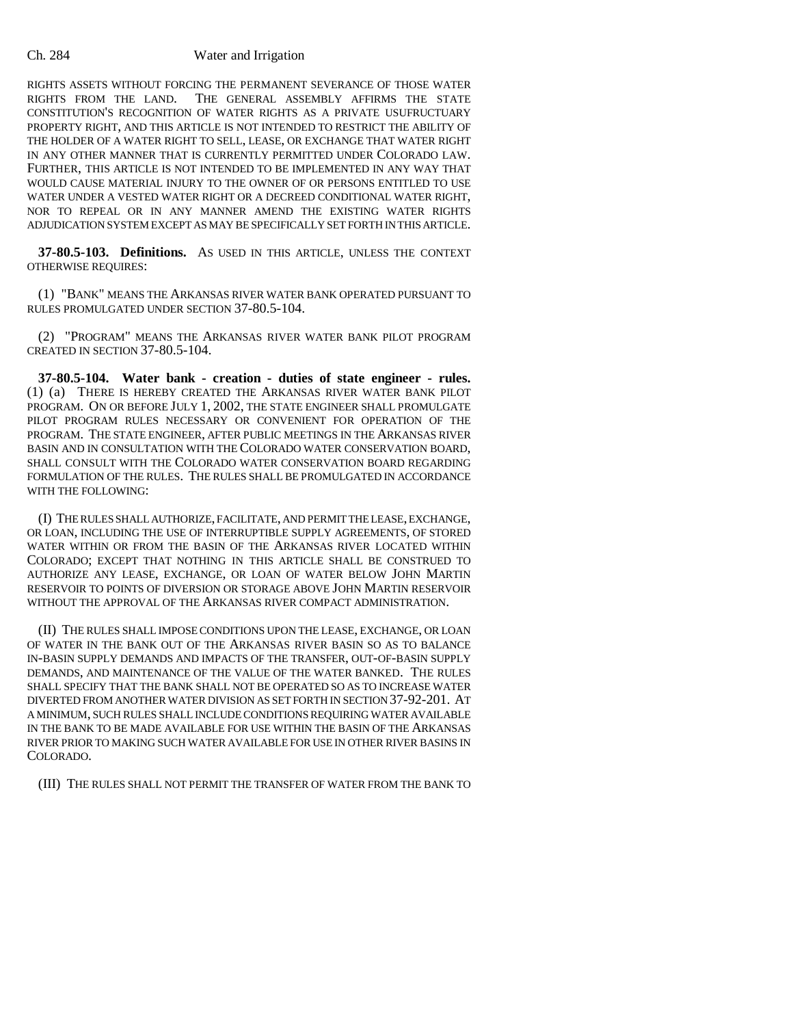#### Ch. 284 Water and Irrigation

RIGHTS ASSETS WITHOUT FORCING THE PERMANENT SEVERANCE OF THOSE WATER RIGHTS FROM THE LAND. THE GENERAL ASSEMBLY AFFIRMS THE STATE CONSTITUTION'S RECOGNITION OF WATER RIGHTS AS A PRIVATE USUFRUCTUARY PROPERTY RIGHT, AND THIS ARTICLE IS NOT INTENDED TO RESTRICT THE ABILITY OF THE HOLDER OF A WATER RIGHT TO SELL, LEASE, OR EXCHANGE THAT WATER RIGHT IN ANY OTHER MANNER THAT IS CURRENTLY PERMITTED UNDER COLORADO LAW. FURTHER, THIS ARTICLE IS NOT INTENDED TO BE IMPLEMENTED IN ANY WAY THAT WOULD CAUSE MATERIAL INJURY TO THE OWNER OF OR PERSONS ENTITLED TO USE WATER UNDER A VESTED WATER RIGHT OR A DECREED CONDITIONAL WATER RIGHT, NOR TO REPEAL OR IN ANY MANNER AMEND THE EXISTING WATER RIGHTS ADJUDICATION SYSTEM EXCEPT AS MAY BE SPECIFICALLY SET FORTH IN THIS ARTICLE.

**37-80.5-103. Definitions.** AS USED IN THIS ARTICLE, UNLESS THE CONTEXT OTHERWISE REQUIRES:

(1) "BANK" MEANS THE ARKANSAS RIVER WATER BANK OPERATED PURSUANT TO RULES PROMULGATED UNDER SECTION 37-80.5-104.

(2) "PROGRAM" MEANS THE ARKANSAS RIVER WATER BANK PILOT PROGRAM CREATED IN SECTION 37-80.5-104.

**37-80.5-104. Water bank - creation - duties of state engineer - rules.** (1) (a) THERE IS HEREBY CREATED THE ARKANSAS RIVER WATER BANK PILOT PROGRAM. ON OR BEFORE JULY 1, 2002, THE STATE ENGINEER SHALL PROMULGATE PILOT PROGRAM RULES NECESSARY OR CONVENIENT FOR OPERATION OF THE PROGRAM. THE STATE ENGINEER, AFTER PUBLIC MEETINGS IN THE ARKANSAS RIVER BASIN AND IN CONSULTATION WITH THE COLORADO WATER CONSERVATION BOARD, SHALL CONSULT WITH THE COLORADO WATER CONSERVATION BOARD REGARDING FORMULATION OF THE RULES. THE RULES SHALL BE PROMULGATED IN ACCORDANCE WITH THE FOLLOWING:

(I) THE RULES SHALL AUTHORIZE, FACILITATE, AND PERMIT THE LEASE, EXCHANGE, OR LOAN, INCLUDING THE USE OF INTERRUPTIBLE SUPPLY AGREEMENTS, OF STORED WATER WITHIN OR FROM THE BASIN OF THE ARKANSAS RIVER LOCATED WITHIN COLORADO; EXCEPT THAT NOTHING IN THIS ARTICLE SHALL BE CONSTRUED TO AUTHORIZE ANY LEASE, EXCHANGE, OR LOAN OF WATER BELOW JOHN MARTIN RESERVOIR TO POINTS OF DIVERSION OR STORAGE ABOVE JOHN MARTIN RESERVOIR WITHOUT THE APPROVAL OF THE ARKANSAS RIVER COMPACT ADMINISTRATION.

(II) THE RULES SHALL IMPOSE CONDITIONS UPON THE LEASE, EXCHANGE, OR LOAN OF WATER IN THE BANK OUT OF THE ARKANSAS RIVER BASIN SO AS TO BALANCE IN-BASIN SUPPLY DEMANDS AND IMPACTS OF THE TRANSFER, OUT-OF-BASIN SUPPLY DEMANDS, AND MAINTENANCE OF THE VALUE OF THE WATER BANKED. THE RULES SHALL SPECIFY THAT THE BANK SHALL NOT BE OPERATED SO AS TO INCREASE WATER DIVERTED FROM ANOTHER WATER DIVISION AS SET FORTH IN SECTION 37-92-201. AT A MINIMUM, SUCH RULES SHALL INCLUDE CONDITIONS REQUIRING WATER AVAILABLE IN THE BANK TO BE MADE AVAILABLE FOR USE WITHIN THE BASIN OF THE ARKANSAS RIVER PRIOR TO MAKING SUCH WATER AVAILABLE FOR USE IN OTHER RIVER BASINS IN COLORADO.

(III) THE RULES SHALL NOT PERMIT THE TRANSFER OF WATER FROM THE BANK TO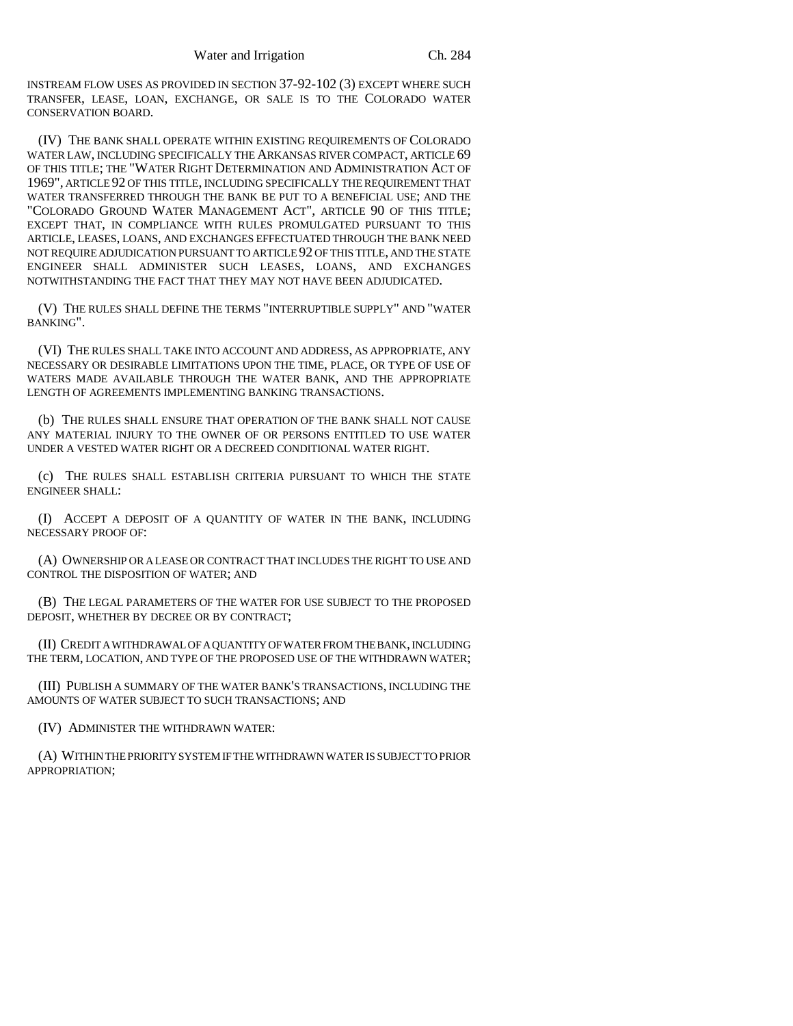INSTREAM FLOW USES AS PROVIDED IN SECTION 37-92-102 (3) EXCEPT WHERE SUCH TRANSFER, LEASE, LOAN, EXCHANGE, OR SALE IS TO THE COLORADO WATER CONSERVATION BOARD.

(IV) THE BANK SHALL OPERATE WITHIN EXISTING REQUIREMENTS OF COLORADO WATER LAW, INCLUDING SPECIFICALLY THE ARKANSAS RIVER COMPACT, ARTICLE 69 OF THIS TITLE; THE "WATER RIGHT DETERMINATION AND ADMINISTRATION ACT OF 1969", ARTICLE 92 OF THIS TITLE, INCLUDING SPECIFICALLY THE REQUIREMENT THAT WATER TRANSFERRED THROUGH THE BANK BE PUT TO A BENEFICIAL USE; AND THE "COLORADO GROUND WATER MANAGEMENT ACT", ARTICLE 90 OF THIS TITLE; EXCEPT THAT, IN COMPLIANCE WITH RULES PROMULGATED PURSUANT TO THIS ARTICLE, LEASES, LOANS, AND EXCHANGES EFFECTUATED THROUGH THE BANK NEED NOT REQUIRE ADJUDICATION PURSUANT TO ARTICLE 92 OF THIS TITLE, AND THE STATE ENGINEER SHALL ADMINISTER SUCH LEASES, LOANS, AND EXCHANGES NOTWITHSTANDING THE FACT THAT THEY MAY NOT HAVE BEEN ADJUDICATED.

(V) THE RULES SHALL DEFINE THE TERMS "INTERRUPTIBLE SUPPLY" AND "WATER BANKING".

(VI) THE RULES SHALL TAKE INTO ACCOUNT AND ADDRESS, AS APPROPRIATE, ANY NECESSARY OR DESIRABLE LIMITATIONS UPON THE TIME, PLACE, OR TYPE OF USE OF WATERS MADE AVAILABLE THROUGH THE WATER BANK, AND THE APPROPRIATE LENGTH OF AGREEMENTS IMPLEMENTING BANKING TRANSACTIONS.

(b) THE RULES SHALL ENSURE THAT OPERATION OF THE BANK SHALL NOT CAUSE ANY MATERIAL INJURY TO THE OWNER OF OR PERSONS ENTITLED TO USE WATER UNDER A VESTED WATER RIGHT OR A DECREED CONDITIONAL WATER RIGHT.

(c) THE RULES SHALL ESTABLISH CRITERIA PURSUANT TO WHICH THE STATE ENGINEER SHALL:

(I) ACCEPT A DEPOSIT OF A QUANTITY OF WATER IN THE BANK, INCLUDING NECESSARY PROOF OF:

(A) OWNERSHIP OR A LEASE OR CONTRACT THAT INCLUDES THE RIGHT TO USE AND CONTROL THE DISPOSITION OF WATER; AND

(B) THE LEGAL PARAMETERS OF THE WATER FOR USE SUBJECT TO THE PROPOSED DEPOSIT, WHETHER BY DECREE OR BY CONTRACT;

(II) CREDIT A WITHDRAWAL OF A QUANTITY OF WATER FROM THE BANK, INCLUDING THE TERM, LOCATION, AND TYPE OF THE PROPOSED USE OF THE WITHDRAWN WATER;

(III) PUBLISH A SUMMARY OF THE WATER BANK'S TRANSACTIONS, INCLUDING THE AMOUNTS OF WATER SUBJECT TO SUCH TRANSACTIONS; AND

(IV) ADMINISTER THE WITHDRAWN WATER:

(A) WITHIN THE PRIORITY SYSTEM IF THE WITHDRAWN WATER IS SUBJECT TO PRIOR APPROPRIATION;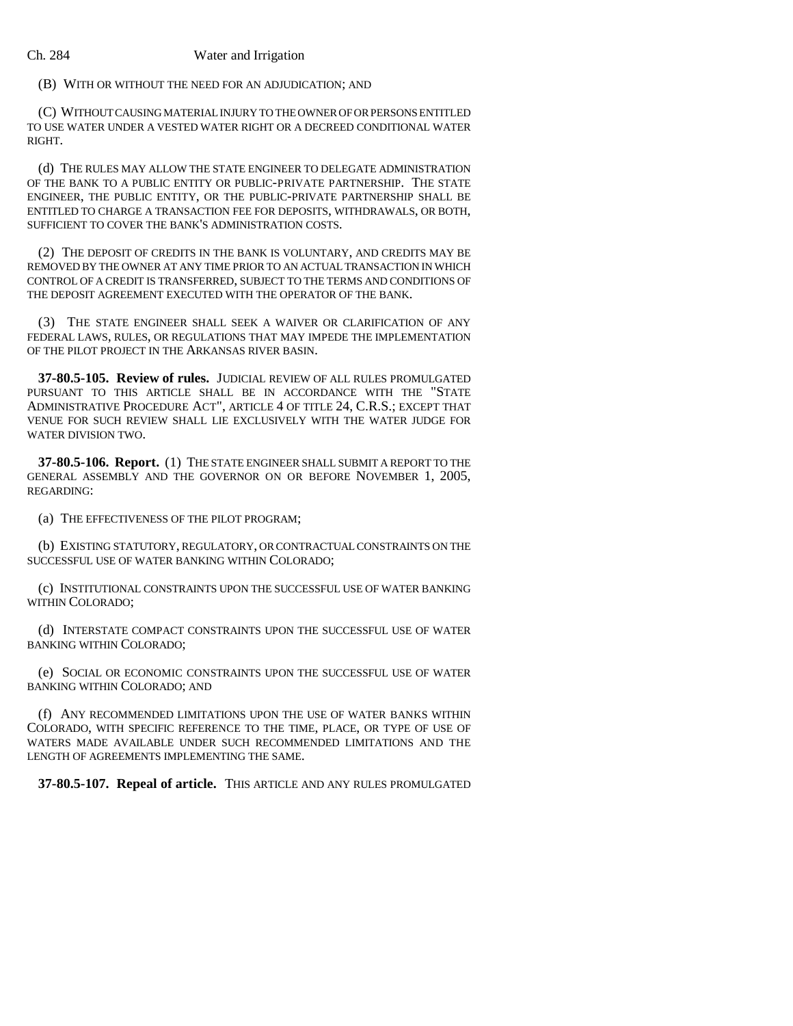#### Ch. 284 Water and Irrigation

(B) WITH OR WITHOUT THE NEED FOR AN ADJUDICATION; AND

(C) WITHOUT CAUSING MATERIAL INJURY TO THE OWNER OF OR PERSONS ENTITLED TO USE WATER UNDER A VESTED WATER RIGHT OR A DECREED CONDITIONAL WATER RIGHT.

(d) THE RULES MAY ALLOW THE STATE ENGINEER TO DELEGATE ADMINISTRATION OF THE BANK TO A PUBLIC ENTITY OR PUBLIC-PRIVATE PARTNERSHIP. THE STATE ENGINEER, THE PUBLIC ENTITY, OR THE PUBLIC-PRIVATE PARTNERSHIP SHALL BE ENTITLED TO CHARGE A TRANSACTION FEE FOR DEPOSITS, WITHDRAWALS, OR BOTH, SUFFICIENT TO COVER THE BANK'S ADMINISTRATION COSTS.

(2) THE DEPOSIT OF CREDITS IN THE BANK IS VOLUNTARY, AND CREDITS MAY BE REMOVED BY THE OWNER AT ANY TIME PRIOR TO AN ACTUAL TRANSACTION IN WHICH CONTROL OF A CREDIT IS TRANSFERRED, SUBJECT TO THE TERMS AND CONDITIONS OF THE DEPOSIT AGREEMENT EXECUTED WITH THE OPERATOR OF THE BANK.

(3) THE STATE ENGINEER SHALL SEEK A WAIVER OR CLARIFICATION OF ANY FEDERAL LAWS, RULES, OR REGULATIONS THAT MAY IMPEDE THE IMPLEMENTATION OF THE PILOT PROJECT IN THE ARKANSAS RIVER BASIN.

**37-80.5-105. Review of rules.** JUDICIAL REVIEW OF ALL RULES PROMULGATED PURSUANT TO THIS ARTICLE SHALL BE IN ACCORDANCE WITH THE "STATE ADMINISTRATIVE PROCEDURE ACT", ARTICLE 4 OF TITLE 24, C.R.S.; EXCEPT THAT VENUE FOR SUCH REVIEW SHALL LIE EXCLUSIVELY WITH THE WATER JUDGE FOR WATER DIVISION TWO.

**37-80.5-106. Report.** (1) THE STATE ENGINEER SHALL SUBMIT A REPORT TO THE GENERAL ASSEMBLY AND THE GOVERNOR ON OR BEFORE NOVEMBER 1, 2005, REGARDING:

(a) THE EFFECTIVENESS OF THE PILOT PROGRAM;

(b) EXISTING STATUTORY, REGULATORY, OR CONTRACTUAL CONSTRAINTS ON THE SUCCESSFUL USE OF WATER BANKING WITHIN COLORADO;

(c) INSTITUTIONAL CONSTRAINTS UPON THE SUCCESSFUL USE OF WATER BANKING WITHIN COLORADO;

(d) INTERSTATE COMPACT CONSTRAINTS UPON THE SUCCESSFUL USE OF WATER BANKING WITHIN COLORADO;

(e) SOCIAL OR ECONOMIC CONSTRAINTS UPON THE SUCCESSFUL USE OF WATER BANKING WITHIN COLORADO; AND

(f) ANY RECOMMENDED LIMITATIONS UPON THE USE OF WATER BANKS WITHIN COLORADO, WITH SPECIFIC REFERENCE TO THE TIME, PLACE, OR TYPE OF USE OF WATERS MADE AVAILABLE UNDER SUCH RECOMMENDED LIMITATIONS AND THE LENGTH OF AGREEMENTS IMPLEMENTING THE SAME.

**37-80.5-107. Repeal of article.** THIS ARTICLE AND ANY RULES PROMULGATED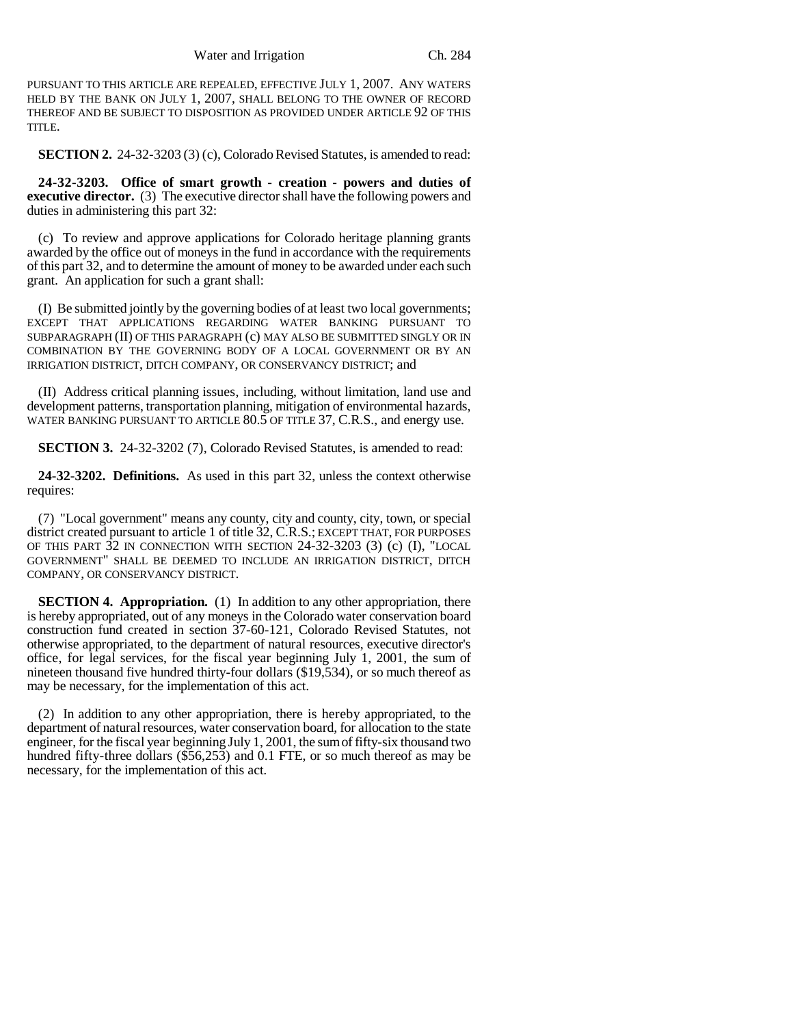PURSUANT TO THIS ARTICLE ARE REPEALED, EFFECTIVE JULY 1, 2007. ANY WATERS HELD BY THE BANK ON JULY 1, 2007, SHALL BELONG TO THE OWNER OF RECORD THEREOF AND BE SUBJECT TO DISPOSITION AS PROVIDED UNDER ARTICLE 92 OF THIS TITLE.

**SECTION 2.** 24-32-3203 (3) (c), Colorado Revised Statutes, is amended to read:

**24-32-3203. Office of smart growth - creation - powers and duties of executive director.** (3) The executive director shall have the following powers and duties in administering this part 32:

(c) To review and approve applications for Colorado heritage planning grants awarded by the office out of moneys in the fund in accordance with the requirements of this part 32, and to determine the amount of money to be awarded under each such grant. An application for such a grant shall:

(I) Be submitted jointly by the governing bodies of at least two local governments; EXCEPT THAT APPLICATIONS REGARDING WATER BANKING PURSUANT TO SUBPARAGRAPH (II) OF THIS PARAGRAPH (c) MAY ALSO BE SUBMITTED SINGLY OR IN COMBINATION BY THE GOVERNING BODY OF A LOCAL GOVERNMENT OR BY AN IRRIGATION DISTRICT, DITCH COMPANY, OR CONSERVANCY DISTRICT; and

(II) Address critical planning issues, including, without limitation, land use and development patterns, transportation planning, mitigation of environmental hazards, WATER BANKING PURSUANT TO ARTICLE 80.5 OF TITLE 37, C.R.S., and energy use.

**SECTION 3.** 24-32-3202 (7), Colorado Revised Statutes, is amended to read:

**24-32-3202. Definitions.** As used in this part 32, unless the context otherwise requires:

(7) "Local government" means any county, city and county, city, town, or special district created pursuant to article 1 of title 32, C.R.S.; EXCEPT THAT, FOR PURPOSES OF THIS PART 32 IN CONNECTION WITH SECTION 24-32-3203 (3) (c) (I), "LOCAL GOVERNMENT" SHALL BE DEEMED TO INCLUDE AN IRRIGATION DISTRICT, DITCH COMPANY, OR CONSERVANCY DISTRICT.

**SECTION 4. Appropriation.** (1) In addition to any other appropriation, there is hereby appropriated, out of any moneys in the Colorado water conservation board construction fund created in section 37-60-121, Colorado Revised Statutes, not otherwise appropriated, to the department of natural resources, executive director's office, for legal services, for the fiscal year beginning July 1, 2001, the sum of nineteen thousand five hundred thirty-four dollars (\$19,534), or so much thereof as may be necessary, for the implementation of this act.

(2) In addition to any other appropriation, there is hereby appropriated, to the department of natural resources, water conservation board, for allocation to the state engineer, for the fiscal year beginning July 1, 2001, the sum of fifty-six thousand two hundred fifty-three dollars (\$56,253) and 0.1 FTE, or so much thereof as may be necessary, for the implementation of this act.